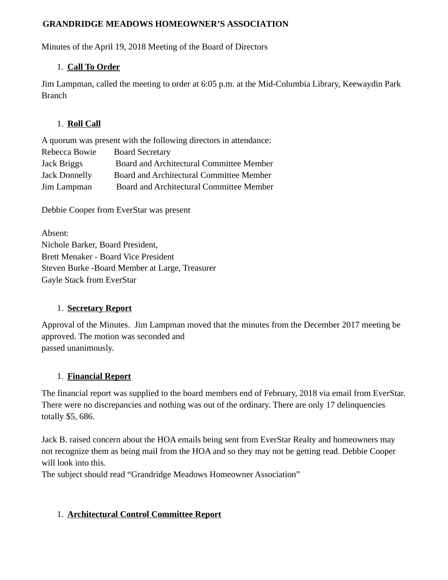#### **GRANDRIDGE MEADOWS HOMEOWNER'S ASSOCIATION**

Minutes of the April 19, 2018 Meeting of the Board of Directors

### 1. **Call To Order**

Jim Lampman, called the meeting to order at 6:05 p.m. at the Mid-Columbia Library, Keewaydin Park Branch

### 1. **Roll Call**

|                      | A quorum was present with the following directors in attendance: |
|----------------------|------------------------------------------------------------------|
| Rebecca Bowie        | <b>Board Secretary</b>                                           |
| Jack Briggs          | Board and Architectural Committee Member                         |
| <b>Jack Donnelly</b> | Board and Architectural Committee Member                         |
| Jim Lampman          | Board and Architectural Committee Member                         |

Debbie Cooper from EverStar was present

Absent: Nichole Barker, Board President, Brett Menaker - Board Vice President Steven Burke -Board Member at Large, Treasurer Gayle Stack from EverStar

### 1. **Secretary Report**

Approval of the Minutes. Jim Lampman moved that the minutes from the December 2017 meeting be approved. The motion was seconded and passed unanimously.

# 1. **Financial Report**

The financial report was supplied to the board members end of February, 2018 via email from EverStar. There were no discrepancies and nothing was out of the ordinary. There are only 17 delinquencies totally \$5, 686.

Jack B. raised concern about the HOA emails being sent from EverStar Realty and homeowners may not recognize them as being mail from the HOA and so they may not be getting read. Debbie Cooper will look into this.

The subject should read "Grandridge Meadows Homeowner Association"

# 1. **Architectural Control Committee Report**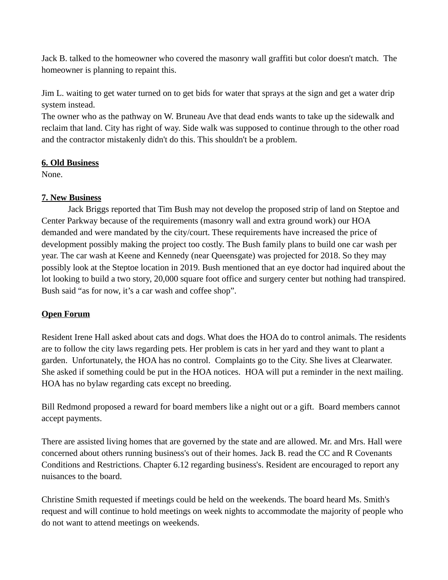Jack B. talked to the homeowner who covered the masonry wall graffiti but color doesn't match. The homeowner is planning to repaint this.

Jim L. waiting to get water turned on to get bids for water that sprays at the sign and get a water drip system instead.

The owner who as the pathway on W. Bruneau Ave that dead ends wants to take up the sidewalk and reclaim that land. City has right of way. Side walk was supposed to continue through to the other road and the contractor mistakenly didn't do this. This shouldn't be a problem.

### **6. Old Business**

None.

### **7. New Business**

 Jack Briggs reported that Tim Bush may not develop the proposed strip of land on Steptoe and Center Parkway because of the requirements (masonry wall and extra ground work) our HOA demanded and were mandated by the city/court. These requirements have increased the price of development possibly making the project too costly. The Bush family plans to build one car wash per year. The car wash at Keene and Kennedy (near Queensgate) was projected for 2018. So they may possibly look at the Steptoe location in 2019. Bush mentioned that an eye doctor had inquired about the lot looking to build a two story, 20,000 square foot office and surgery center but nothing had transpired. Bush said "as for now, it's a car wash and coffee shop".

# **Open Forum**

Resident Irene Hall asked about cats and dogs. What does the HOA do to control animals. The residents are to follow the city laws regarding pets. Her problem is cats in her yard and they want to plant a garden. Unfortunately, the HOA has no control. Complaints go to the City. She lives at Clearwater. She asked if something could be put in the HOA notices. HOA will put a reminder in the next mailing. HOA has no bylaw regarding cats except no breeding.

Bill Redmond proposed a reward for board members like a night out or a gift. Board members cannot accept payments.

There are assisted living homes that are governed by the state and are allowed. Mr. and Mrs. Hall were concerned about others running business's out of their homes. Jack B. read the CC and R Covenants Conditions and Restrictions. Chapter 6.12 regarding business's. Resident are encouraged to report any nuisances to the board.

Christine Smith requested if meetings could be held on the weekends. The board heard Ms. Smith's request and will continue to hold meetings on week nights to accommodate the majority of people who do not want to attend meetings on weekends.